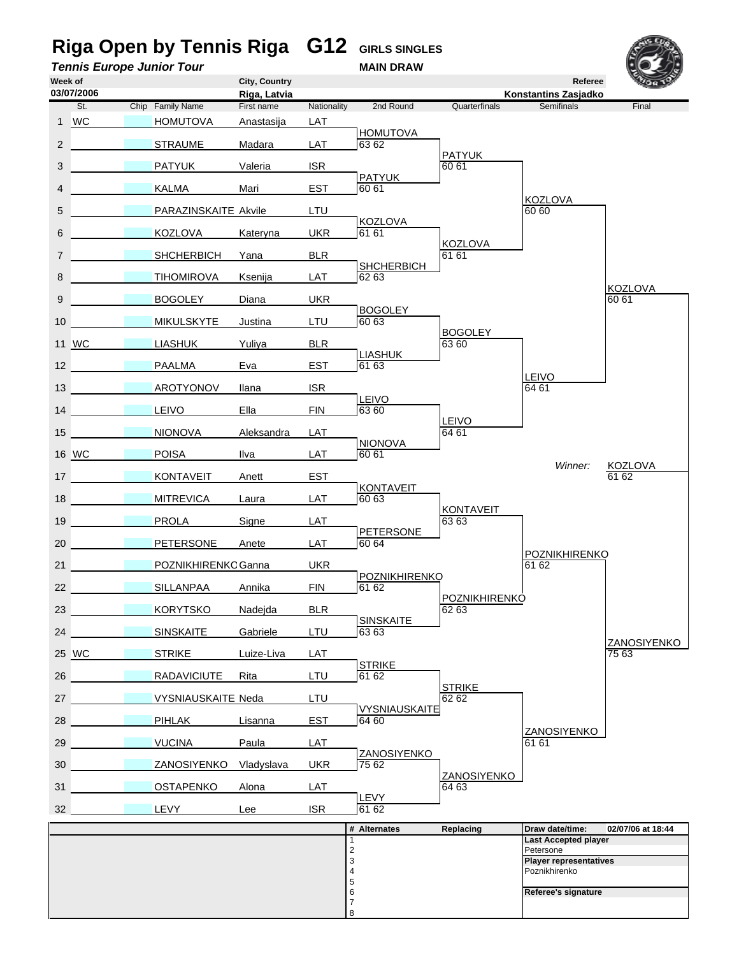# **Riga Open by Tennis Riga G12** GIRLS SINGLES<br>
Tennis Europe Junior Tour<br>
MAIN DRAW **Tennis Europe Junior Tour**

| Week of         |                                   |                                   |                           | City, Country              |             |                               |                               | Referee                                        | <b>COLLA</b>                |
|-----------------|-----------------------------------|-----------------------------------|---------------------------|----------------------------|-------------|-------------------------------|-------------------------------|------------------------------------------------|-----------------------------|
|                 | 03/07/2006<br>St.                 |                                   | Chip Family Name          | Riga, Latvia<br>First name | Nationality | 2nd Round                     | Quarterfinals                 | Konstantins Zasjadko<br>Semifinals             | Final                       |
|                 | 1 WC                              |                                   | <b>HOMUTOVA</b>           | Anastasija                 | LAT         |                               |                               |                                                |                             |
|                 |                                   |                                   |                           |                            |             | <b>HOMUTOVA</b>               |                               |                                                |                             |
| $\overline{2}$  |                                   |                                   | <b>STRAUME</b>            | Madara                     | LAT         | 63 62                         | <b>PATYUK</b>                 |                                                |                             |
| 3               |                                   |                                   | <b>PATYUK</b>             | Valeria                    | <b>ISR</b>  | <b>PATYUK</b>                 | 60 61                         |                                                |                             |
| 4               |                                   |                                   | KALMA                     | Mari                       | EST         | 60 61                         |                               |                                                |                             |
| 5               |                                   |                                   | PARAZINSKAITE Akvile      |                            | LTU         |                               |                               | <b>KOZLOVA</b><br>60 60                        |                             |
| 6               |                                   |                                   | KOZLOVA                   | Kateryna                   | <b>UKR</b>  | <b>KOZLOVA</b><br>61 61       |                               |                                                |                             |
| $\overline{7}$  |                                   |                                   | <b>SHCHERBICH</b>         | Yana                       | <b>BLR</b>  |                               | <b>KOZLOVA</b><br>61 61       |                                                |                             |
| 8               |                                   |                                   | <b>TIHOMIROVA</b>         | Ksenija                    | LAT         | <b>SHCHERBICH</b><br>62 63    |                               |                                                |                             |
| 9               |                                   |                                   | <b>BOGOLEY</b>            | Diana                      | <b>UKR</b>  |                               |                               |                                                | <b>KOZLOVA</b><br>60 61     |
| 10 <sup>1</sup> |                                   |                                   | <b>MIKULSKYTE</b>         | Justina                    | LTU         | <b>BOGOLEY</b><br>60 63       |                               |                                                |                             |
|                 | 11 WC                             |                                   | <b>LIASHUK</b>            | Yuliya                     | <b>BLR</b>  |                               | <b>BOGOLEY</b><br>63 60       |                                                |                             |
|                 | 12                                |                                   | PAALMA                    | Eva                        | <b>EST</b>  | <b>LIASHUK</b><br>61 63       |                               |                                                |                             |
|                 | 13                                |                                   | AROTYONOV                 | Ilana                      | <b>ISR</b>  |                               |                               | <b>LEIVO</b><br>64 61                          |                             |
|                 | 14                                |                                   |                           |                            |             | <b>LEIVO</b>                  |                               |                                                |                             |
|                 |                                   |                                   | LEIVO                     | Ella                       | <b>FIN</b>  | 63 60                         | LEIVO                         |                                                |                             |
|                 | 15                                |                                   | <b>NIONOVA</b>            | Aleksandra                 | LAT         | <b>NIONOVA</b>                | 64 61                         |                                                |                             |
|                 | 16 WC                             |                                   | POISA                     | Ilva                       | LAT         | 60 61                         |                               | Winner:                                        | KOZLOVA                     |
|                 | 17                                |                                   | <b>KONTAVEIT</b>          | Anett                      | <b>EST</b>  | <b>KONTAVEIT</b>              |                               |                                                | 61 62                       |
| 18              | <b>Contract Contract Contract</b> |                                   | <b>MITREVICA</b>          | Laura                      | LAT         | 60 63                         | <b>KONTAVEIT</b>              |                                                |                             |
| 19              | <b>Contract Contract Contract</b> |                                   | PROLA                     | Signe                      | LAT         | <b>PETERSONE</b>              | 63 63                         |                                                |                             |
| 20              |                                   |                                   | <b>PETERSONE</b>          | Anete                      | LAT         | 60 64                         |                               | POZNIKHIRENKO                                  |                             |
| 21              |                                   |                                   | POZNIKHIRENKC Ganna       |                            | <b>UKR</b>  |                               |                               | 61 62                                          |                             |
| 22              |                                   |                                   | SILLANPAA                 | Annika                     | <b>FIN</b>  | POZNIKHIRENKO<br>61 62        |                               |                                                |                             |
| 23              | <b>Contract Contract Contract</b> |                                   | <b>KORYTSKO</b>           | Nadejda                    | <b>BLR</b>  |                               | <b>POZNIKHIRENKO</b><br>62 63 |                                                |                             |
| 24              |                                   |                                   | <b>SINSKAITE</b>          | Gabriele                   | LTU         | <b>SINSKAITE</b><br>63 63     |                               |                                                |                             |
|                 | 25 WC                             |                                   | <b>STRIKE</b>             | Luize-Liva                 | LAT         |                               |                               |                                                | <b>ZANOSIYENKO</b><br>75 63 |
| 26              |                                   |                                   | RADAVICIUTE               | Rita                       | LTU         | <b>STRIKE</b><br>61 62        |                               |                                                |                             |
| 27              |                                   | <b>Contract Contract Contract</b> | <b>VYSNIAUSKAITE Neda</b> |                            | LTU         |                               | <b>STRIKE</b><br>62 62        |                                                |                             |
| 28              | <b>Service Contract Contract</b>  |                                   | PIHLAK                    | Lisanna                    | <b>EST</b>  | <b>VYSNIAUSKAITE</b><br>64 60 |                               |                                                |                             |
|                 | <b>Contract Contract</b>          |                                   | <b>VUCINA</b>             |                            |             |                               |                               | ZANOSIYENKO<br>61 61                           |                             |
| 29              |                                   |                                   |                           | Paula                      | LAT         | <b>ZANOSIYENKO</b>            |                               |                                                |                             |
| 30              |                                   |                                   | ZANOSIYENKO               | Vladyslava                 | <b>UKR</b>  | 75 62                         | ZANOSIYENKO                   |                                                |                             |
| 31              |                                   |                                   | <b>OSTAPENKO</b>          | Alona                      | LAT         | LEVY                          | 64 63                         |                                                |                             |
|                 | $32 \quad \overline{\phantom{1}}$ |                                   | LEVY                      | Lee                        | <b>ISR</b>  | 61 62                         |                               |                                                |                             |
|                 |                                   |                                   |                           |                            |             | # Alternates<br>$\mathbf{1}$  | Replacing                     | Draw date/time:<br><b>Last Accepted player</b> | 02/07/06 at 18:44           |
|                 |                                   |                                   |                           |                            |             | $\overline{2}$                |                               | Petersone                                      |                             |
|                 |                                   |                                   |                           |                            |             | 3<br>$\overline{4}$           |                               | <b>Player representatives</b><br>Poznikhirenko |                             |
|                 |                                   |                                   |                           |                            |             | 5                             |                               |                                                |                             |
|                 |                                   |                                   |                           |                            |             | 6<br>$\overline{7}$           |                               | Referee's signature                            |                             |

8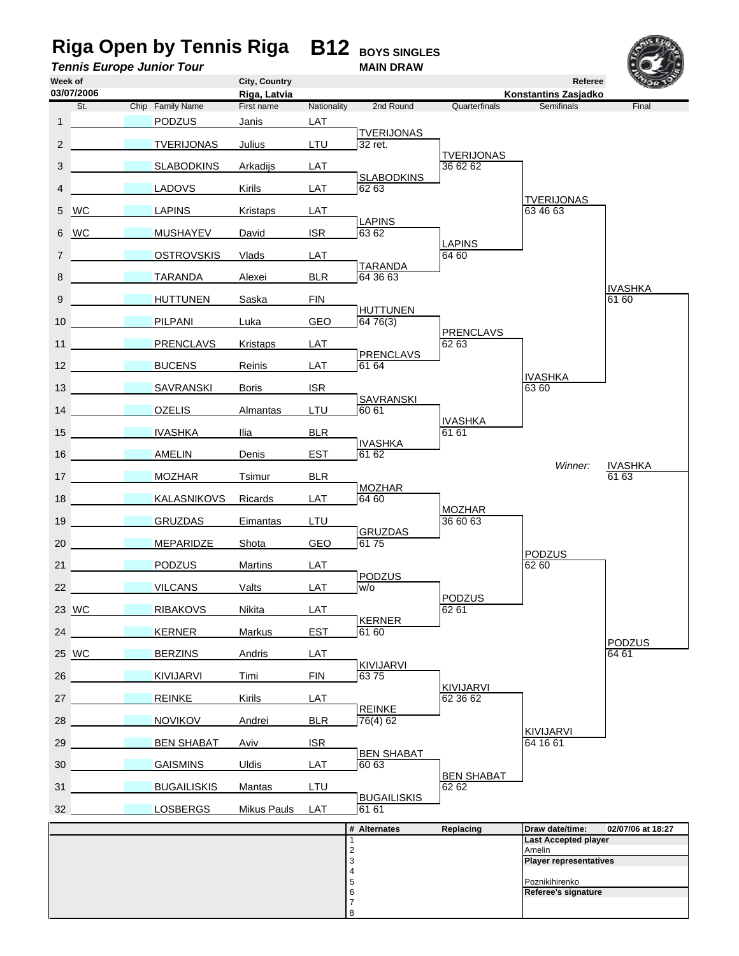#### **Riga Open by Tennis Riga B12 BOYS SINGLES Tennis Europe Junior Tour MAIN DRAW Week of City, Country Referee Riga, Latvia**<br> **Riga, Latvia Riga, Latvia**<br> **Riga, Latvia Antionality And Round Cuarterfinals Riga, Latvia Constantinals** St. Chip Family Name First name Nationality 2nd Round Quarterfinals Semifinals 1 24 PODZUS Janis LAT TVERIJONAS<br>LTU 32 ret. 2 31 TVERIJONAS Julius TVERIJONAS<br>36 62 62 3 39 SLABODKINS Arkadijs LAT External SLABODKINS<br>LAT 62 63 4 13 LADOVS Kirils TVERIJONAS<br>63 46 63 5 WC 14 LAPINS Kristaps LAT 63 46 63 LAPINS<br>
ISR
6362 6 WC 18 MUSHAYEV David LAPINS 7 **20 OSTROVSKIS Vlads** LAT 64 60 ELR **124 TARANDA** 8 30 TARANDA Alexei <u>IVASHKA</u><br>61 60 9 8 HUTTUNEN Saska FIN 61 60 GEO
B<sub>64</sub> 76(3) 10 22 PILPANI Luka Umpire *b* PRENCLAVS 11 PRENCLAVS Kristaps LAT 1 62 63 **LAT** *a a* **PRENCLAVS** 12 **BUCENS** Reinis **IVASHKA** 13 28 SAVRANSKI Boris ISR 63 60 EXAVRANSKI<br>LTU 60 61 14 **OZELIS** Almantas **IVASHKA** 15 NASHKA Ilia BLR 61 61 61 EST **BRITH**<br> **BRITH**<br> **BPD**<br> **BPD**<br> **BPD**<br> **BPD**<br> **BPD** 16 **AMELIN** Denis *Winner:* IVASHKA 17 17 MOZHAR Tsimur BLR Umpire *A* 61 63 LAT **MOZHAR** 18 KALASNIKOVS Ricards LAT 64 60 Umpire *a* MOZHAR 19 GRUZDAS Eimantas LTU 36 60 63 GEO<sub>BO</sub><br>
61 75 20 16 MEPARIDZE Shota PODZUS<br>62 60 21 PODZUS Martins LAT CONSTRUCTED AND RESERVE RESERVE AND RESERVE AND RESERVE AND RESERVE AND RESERVE AND RESERVE LAT PODZUS 22 VILCANS Valts LAT W/o **PODZUS**<br>62 61 23 WC 27 RIBAKOVS Nikita LAT EST **KERNER**<br>
61 60 24 KERNER Markus PODZUS<br>64 61 25 WC 3 BERZINS Andris LAT 64 61 FIN **63** 75 26 KIVIJARVI Timi KIVIJARVI<br>62 36 62 27 26 REINKE Kirils LAT 62 36 62 **BLR** *REINKE*<br>76(4) 62 28 NOVIKOV Andrei KIVIJARVI<br>64 16 61 29 BEN SHABAT Aviv ISR EMPIRE **BEN SHABAT** 30 **GAISMINS** Uldis LAT 60 63 BEN SHABAT<br>62 62 31 **5 BUGAILISKIS** Mantas LTU EMPIRE **BUGAILISKIS** 32 15 LOSBERGS Mikus Pauls **# Alternates Replacing Draw date/time: 02/07/06 at 18:27** 1 **Last Accepted player Amelin** 3 **Player representatives**  $\begin{array}{c} 2 \\ 3 \\ 4 \\ 5 \end{array}$ Poznikihirenko 6 **Referee's signature** 7 **03/07/2006**

8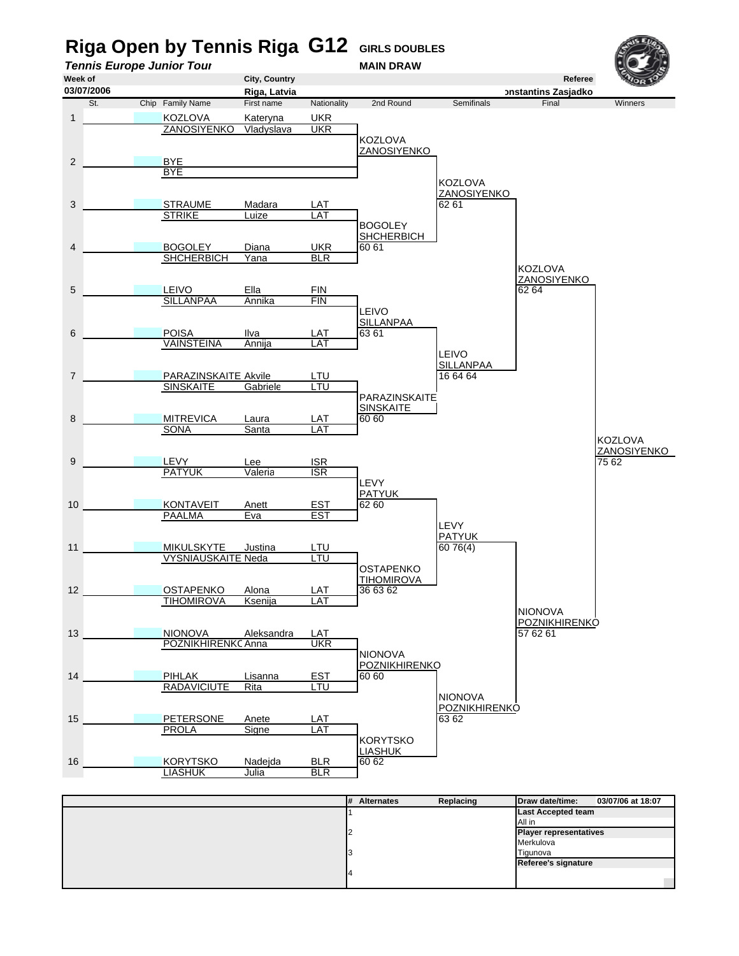

| ---<br>. |                               |  |
|----------|-------------------------------|--|
|          | <b>Last Accepted team</b>     |  |
|          | All in                        |  |
|          | <b>Player representatives</b> |  |
|          | Merkulova                     |  |
|          | Tigunova                      |  |
|          | Referee's signature           |  |
|          |                               |  |
|          |                               |  |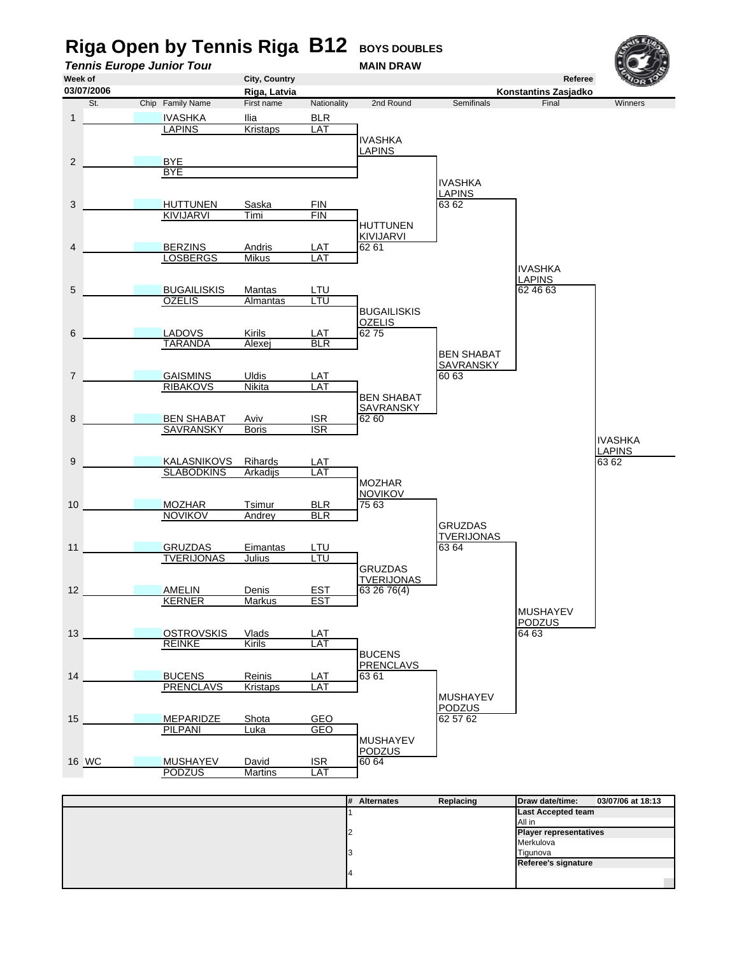

|  | $H$ Alternates | <b>Replacing</b> | $I$ uaw dale/time.            | 03/07/00 at 10.13 |
|--|----------------|------------------|-------------------------------|-------------------|
|  |                |                  | <b>Last Accepted team</b>     |                   |
|  |                |                  | All in                        |                   |
|  |                |                  | <b>Player representatives</b> |                   |
|  |                |                  | Merkulova                     |                   |
|  |                |                  | Tigunova                      |                   |
|  |                |                  | Referee's signature           |                   |
|  |                |                  |                               |                   |
|  |                |                  |                               |                   |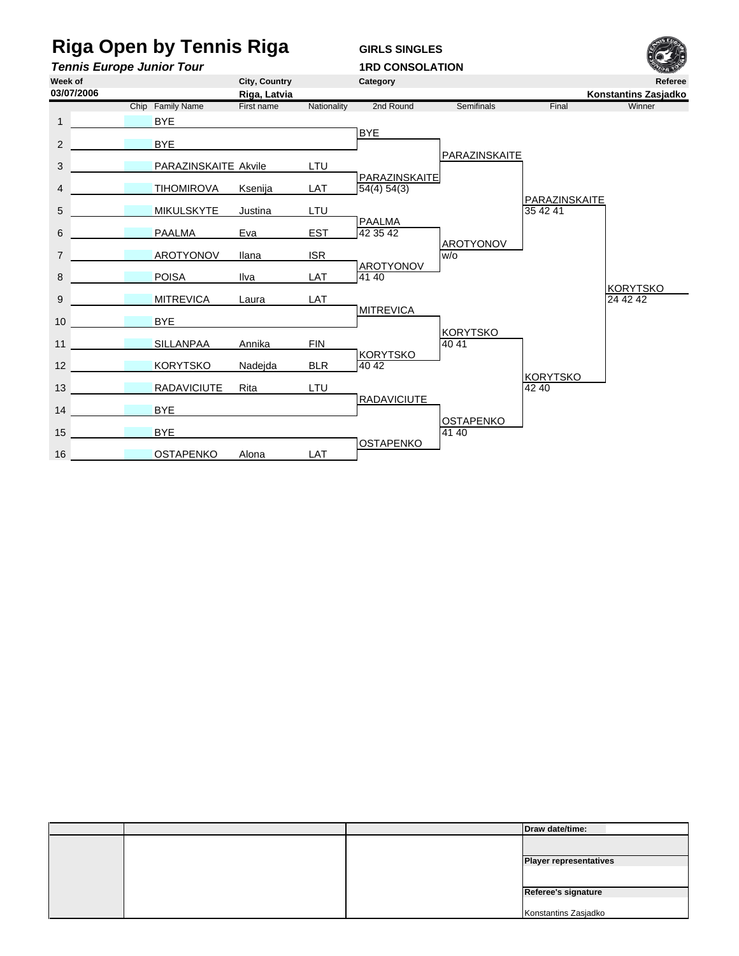### **Riga Open by Tennis Riga GIRLS SINGLES**

16 **OSTAPENKO** Alona

**Tennis Europe Junior Tour**<br>Week of **1RD CONSOLATION**<br>City. Country Category **Week of City, Country Category Referee Riga, Latvia**<br> **Riga, Latvia** Mationality 2nd Round Semifinals Final **Konstantins Zasjadko**<br>
Final Winner Chip Family Name First name Nationality 2nd Round Semifinals Final 1 BYE BYE 2 2 BYE PARAZINSKAITE 3 PARAZINSKAITE Akvile LTU PARAZINSKAITE 4 **1 TIHOMIROVA Ksenija** PARAZINSKAITE<br>35 42 41 5 MIKULSKYTE Justina LTU EST **PAALMA**<br>EST 42 35 42 6 **PAALMA** Eva Umpire *b* AROTYONOV 7 **AROTYONOV Ilana** ISR WO **LAT** AROTYONOV 8 8 POISA Ilva KORYTSKO<br>24 42 42 9 MITREVICA Laura LAT **MITREVICA** 10 BYE KORYTSKO<br>40 41 11 SILLANPAA Annika FIN BLR **BORYTSKO** 12 KORYTSKO Nadejda Umpire *a* KORYTSKO 13 RADAVICIUTE Rita LTU 12 12 42 40 Umpire *a* RADAVICIUTE 14 **BYE** Umpire *b* OSTAPENKO 15 15 BYE 41 40 **03/07/2006**

LAT **DESTAPENKO** 

|  | Draw date/time:               |
|--|-------------------------------|
|  |                               |
|  | <b>Player representatives</b> |
|  |                               |
|  |                               |
|  | Referee's signature           |
|  |                               |
|  | Konstantins Zasjadko          |